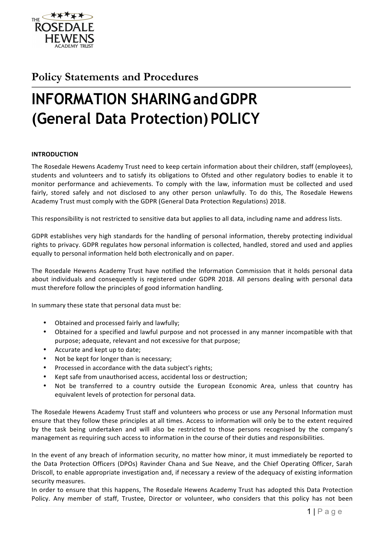

# **Policy Statements and Procedures**

# **INFORMATION SHARINGandGDPR (General Data Protection) POLICY**

# **INTRODUCTION**

The Rosedale Hewens Academy Trust need to keep certain information about their children, staff (employees), students and volunteers and to satisfy its obligations to Ofsted and other regulatory bodies to enable it to monitor performance and achievements. To comply with the law, information must be collected and used fairly, stored safely and not disclosed to any other person unlawfully. To do this, The Rosedale Hewens Academy Trust must comply with the GDPR (General Data Protection Regulations) 2018.

This responsibility is not restricted to sensitive data but applies to all data, including name and address lists.

GDPR establishes very high standards for the handling of personal information, thereby protecting individual rights to privacy. GDPR regulates how personal information is collected, handled, stored and used and applies equally to personal information held both electronically and on paper.

The Rosedale Hewens Academy Trust have notified the Information Commission that it holds personal data about individuals and consequently is registered under GDPR 2018. All persons dealing with personal data must therefore follow the principles of good information handling.

In summary these state that personal data must be:

- Obtained and processed fairly and lawfully;
- Obtained for a specified and lawful purpose and not processed in any manner incompatible with that purpose; adequate, relevant and not excessive for that purpose;
- Accurate and kept up to date;
- Not be kept for longer than is necessary;
- Processed in accordance with the data subject's rights;
- Kept safe from unauthorised access, accidental loss or destruction;
- Not be transferred to a country outside the European Economic Area, unless that country has equivalent levels of protection for personal data.

The Rosedale Hewens Academy Trust staff and volunteers who process or use any Personal Information must ensure that they follow these principles at all times. Access to information will only be to the extent required by the task being undertaken and will also be restricted to those persons recognised by the company's management as requiring such access to information in the course of their duties and responsibilities.

In the event of any breach of information security, no matter how minor, it must immediately be reported to the Data Protection Officers (DPOs) Ravinder Chana and Sue Neave, and the Chief Operating Officer, Sarah Driscoll, to enable appropriate investigation and, if necessary a review of the adequacy of existing information security measures.

In order to ensure that this happens, The Rosedale Hewens Academy Trust has adopted this Data Protection Policy. Any member of staff, Trustee, Director or volunteer, who considers that this policy has not been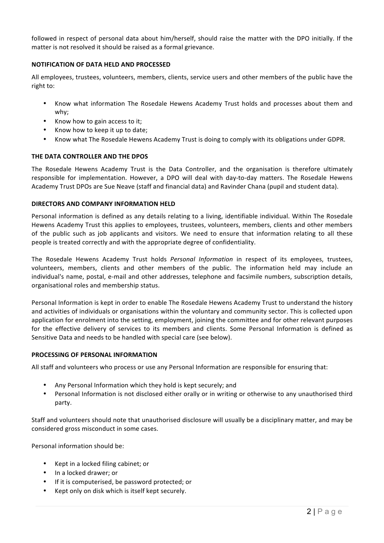followed in respect of personal data about him/herself, should raise the matter with the DPO initially. If the matter is not resolved it should be raised as a formal grievance.

# **NOTIFICATION OF DATA HELD AND PROCESSED**

All employees, trustees, volunteers, members, clients, service users and other members of the public have the right to:

- Know what information The Rosedale Hewens Academy Trust holds and processes about them and why;
- Know how to gain access to it;
- Know how to keep it up to date;
- Know what The Rosedale Hewens Academy Trust is doing to comply with its obligations under GDPR.

# **THE DATA CONTROLLER AND THE DPOS**

The Rosedale Hewens Academy Trust is the Data Controller, and the organisation is therefore ultimately responsible for implementation. However, a DPO will deal with day-to-day matters. The Rosedale Hewens Academy Trust DPOs are Sue Neave (staff and financial data) and Ravinder Chana (pupil and student data).

# **DIRECTORS AND COMPANY INFORMATION HELD**

Personal information is defined as any details relating to a living, identifiable individual. Within The Rosedale Hewens Academy Trust this applies to employees, trustees, volunteers, members, clients and other members of the public such as job applicants and visitors. We need to ensure that information relating to all these people is treated correctly and with the appropriate degree of confidentiality.

The Rosedale Hewens Academy Trust holds *Personal Information* in respect of its employees, trustees, volunteers, members, clients and other members of the public. The information held may include an individual's name, postal, e-mail and other addresses, telephone and facsimile numbers, subscription details, organisational roles and membership status.

Personal Information is kept in order to enable The Rosedale Hewens Academy Trust to understand the history and activities of individuals or organisations within the voluntary and community sector. This is collected upon application for enrolment into the setting, employment, joining the committee and for other relevant purposes for the effective delivery of services to its members and clients. Some Personal Information is defined as Sensitive Data and needs to be handled with special care (see below).

# **PROCESSING OF PERSONAL INFORMATION**

All staff and volunteers who process or use any Personal Information are responsible for ensuring that:

- Any Personal Information which they hold is kept securely; and
- Personal Information is not disclosed either orally or in writing or otherwise to any unauthorised third party.

Staff and volunteers should note that unauthorised disclosure will usually be a disciplinary matter, and may be considered gross misconduct in some cases.

Personal information should be:

- Kept in a locked filing cabinet; or
- In a locked drawer; or
- If it is computerised, be password protected; or
- Kept only on disk which is itself kept securely.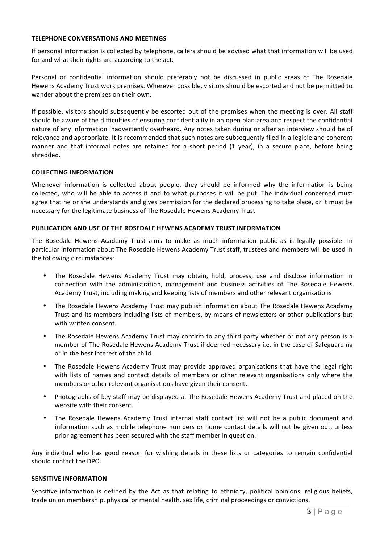# **TELEPHONE CONVERSATIONS AND MEETINGS**

If personal information is collected by telephone, callers should be advised what that information will be used for and what their rights are according to the act.

Personal or confidential information should preferably not be discussed in public areas of The Rosedale Hewens Academy Trust work premises. Wherever possible, visitors should be escorted and not be permitted to wander about the premises on their own.

If possible, visitors should subsequently be escorted out of the premises when the meeting is over. All staff should be aware of the difficulties of ensuring confidentiality in an open plan area and respect the confidential nature of any information inadvertently overheard. Any notes taken during or after an interview should be of relevance and appropriate. It is recommended that such notes are subsequently filed in a legible and coherent manner and that informal notes are retained for a short period (1 year), in a secure place, before being shredded. 

#### **COLLECTING INFORMATION**

Whenever information is collected about people, they should be informed why the information is being collected, who will be able to access it and to what purposes it will be put. The individual concerned must agree that he or she understands and gives permission for the declared processing to take place, or it must be necessary for the legitimate business of The Rosedale Hewens Academy Trust

#### **PUBLICATION AND USE OF THE ROSEDALE HEWENS ACADEMY TRUST INFORMATION**

The Rosedale Hewens Academy Trust aims to make as much information public as is legally possible. In particular information about The Rosedale Hewens Academy Trust staff, trustees and members will be used in the following circumstances:

- The Rosedale Hewens Academy Trust may obtain, hold, process, use and disclose information in connection with the administration, management and business activities of The Rosedale Hewens Academy Trust, including making and keeping lists of members and other relevant organisations
- The Rosedale Hewens Academy Trust may publish information about The Rosedale Hewens Academy Trust and its members including lists of members, by means of newsletters or other publications but with written consent.
- The Rosedale Hewens Academy Trust may confirm to any third party whether or not any person is a member of The Rosedale Hewens Academy Trust if deemed necessary i.e. in the case of Safeguarding or in the best interest of the child.
- The Rosedale Hewens Academy Trust may provide approved organisations that have the legal right with lists of names and contact details of members or other relevant organisations only where the members or other relevant organisations have given their consent.
- Photographs of key staff may be displayed at The Rosedale Hewens Academy Trust and placed on the website with their consent.
- The Rosedale Hewens Academy Trust internal staff contact list will not be a public document and information such as mobile telephone numbers or home contact details will not be given out, unless prior agreement has been secured with the staff member in question.

Any individual who has good reason for wishing details in these lists or categories to remain confidential should contact the DPO.

# **SENSITIVE INFORMATION**

Sensitive information is defined by the Act as that relating to ethnicity, political opinions, religious beliefs, trade union membership, physical or mental health, sex life, criminal proceedings or convictions.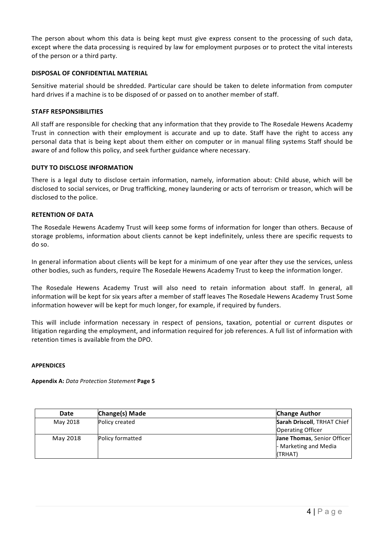The person about whom this data is being kept must give express consent to the processing of such data, except where the data processing is required by law for employment purposes or to protect the vital interests of the person or a third party.

# **DISPOSAL OF CONFIDENTIAL MATERIAL**

Sensitive material should be shredded. Particular care should be taken to delete information from computer hard drives if a machine is to be disposed of or passed on to another member of staff.

# **STAFF RESPONSIBILITIES**

All staff are responsible for checking that any information that they provide to The Rosedale Hewens Academy Trust in connection with their employment is accurate and up to date. Staff have the right to access any personal data that is being kept about them either on computer or in manual filing systems Staff should be aware of and follow this policy, and seek further guidance where necessary.

# **DUTY TO DISCLOSE INFORMATION**

There is a legal duty to disclose certain information, namely, information about: Child abuse, which will be disclosed to social services, or Drug trafficking, money laundering or acts of terrorism or treason, which will be disclosed to the police.

# **RETENTION OF DATA**

The Rosedale Hewens Academy Trust will keep some forms of information for longer than others. Because of storage problems, information about clients cannot be kept indefinitely, unless there are specific requests to do so. 

In general information about clients will be kept for a minimum of one year after they use the services, unless other bodies, such as funders, require The Rosedale Hewens Academy Trust to keep the information longer.

The Rosedale Hewens Academy Trust will also need to retain information about staff. In general, all information will be kept for six years after a member of staff leaves The Rosedale Hewens Academy Trust Some information however will be kept for much longer, for example, if required by funders.

This will include information necessary in respect of pensions, taxation, potential or current disputes or litigation regarding the employment, and information required for job references. A full list of information with retention times is available from the DPO.

# **APPENDICES**

**Appendix A:** *Data Protection Statement* **Page 5**

| Date     | Change(s) Made   | <b>Change Author</b>        |
|----------|------------------|-----------------------------|
| May 2018 | Policy created   | Sarah Driscoll, TRHAT Chief |
|          |                  | <b>Operating Officer</b>    |
| May 2018 | Policy formatted | Jane Thomas, Senior Officer |
|          |                  | - Marketing and Media       |
|          |                  | (TRHAT)                     |